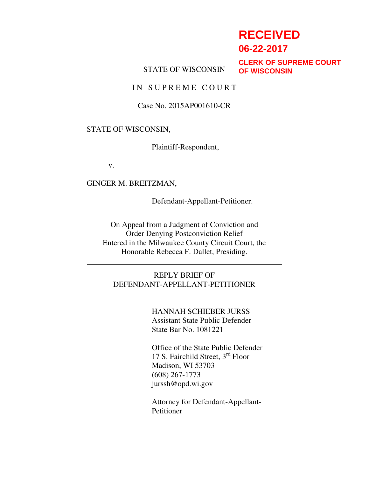# **RECEIVED**

**06-22-2017**

#### STATE OF WISCONSIN

**CLERK OF SUPREME COURT OF WISCONSIN**

IN SUPREME COURT

Case No. 2015AP001610-CR

#### STATE OF WISCONSIN,

Plaintiff-Respondent,

v.

GINGER M. BREITZMAN,

Defendant-Appellant-Petitioner.

On Appeal from a Judgment of Conviction and Order Denying Postconviction Relief Entered in the Milwaukee County Circuit Court, the Honorable Rebecca F. Dallet, Presiding.

REPLY BRIEF OF DEFENDANT-APPELLANT-PETITIONER

> HANNAH SCHIEBER JURSS Assistant State Public Defender State Bar No. 1081221

Office of the State Public Defender 17 S. Fairchild Street, 3rd Floor Madison, WI 53703 (608) 267-1773 jurssh@opd.wi.gov

Attorney for Defendant-Appellant-Petitioner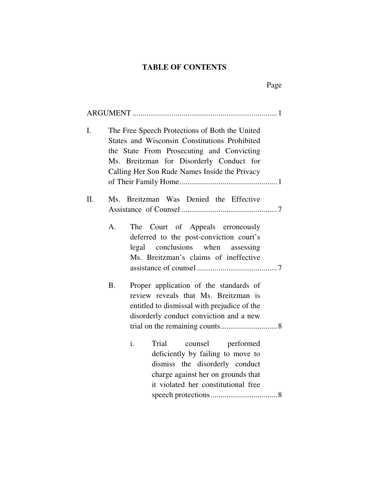# **TABLE OF CONTENTS**

Page

| I.  |           | The Free Speech Protections of Both the United<br>States and Wisconsin Constitutions Prohibited<br>the State From Prosecuting and Convicting<br>Ms. Breitzman for Disorderly Conduct for<br>Calling Her Son Rude Names Inside the Privacy |
|-----|-----------|-------------------------------------------------------------------------------------------------------------------------------------------------------------------------------------------------------------------------------------------|
| II. |           | Ms. Breitzman Was Denied the Effective                                                                                                                                                                                                    |
|     | A.        | The Court of Appeals erroneously<br>deferred to the post-conviction court's<br>legal conclusions when assessing<br>Ms. Breitzman's claims of ineffective                                                                                  |
|     | <b>B.</b> | Proper application of the standards of<br>review reveals that Ms. Breitzman is<br>entitled to dismissal with prejudice of the<br>disorderly conduct conviction and a new                                                                  |
|     |           | i.<br>Trial<br>counsel performed<br>deficiently by failing to move to<br>dismiss the disorderly conduct<br>charge against her on grounds that<br>it violated her constitutional free                                                      |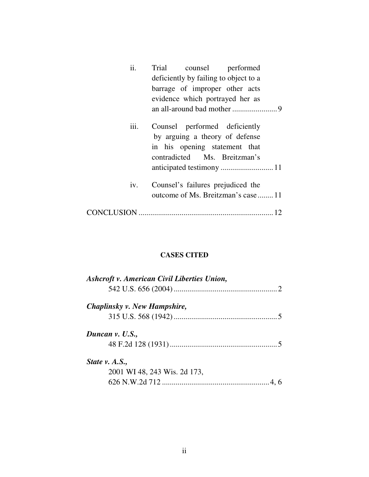| ii.  | Trial counsel performed                                                                                                          |
|------|----------------------------------------------------------------------------------------------------------------------------------|
|      | deficiently by failing to object to a                                                                                            |
|      | barrage of improper other acts                                                                                                   |
|      | evidence which portrayed her as                                                                                                  |
|      |                                                                                                                                  |
| iii. | Counsel performed deficiently<br>by arguing a theory of defense<br>in his opening statement that<br>contradicted Ms. Breitzman's |
| iv.  | Counsel's failures prejudiced the<br>outcome of Ms. Breitzman's case 11                                                          |
|      |                                                                                                                                  |

# **CASES CITED**

| Ashcroft v. American Civil Liberties Union, |  |
|---------------------------------------------|--|
|                                             |  |
| Chaplinsky v. New Hampshire,                |  |
|                                             |  |
| Duncan v. U.S.,                             |  |
|                                             |  |
| State v. A.S.,                              |  |
| 2001 WI 48, 243 Wis. 2d 173,                |  |
|                                             |  |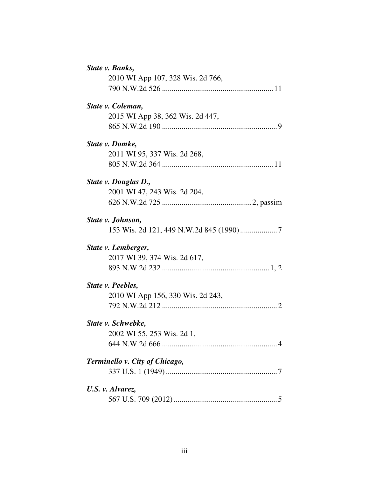| State v. Banks,                   |
|-----------------------------------|
| 2010 WI App 107, 328 Wis. 2d 766, |
|                                   |
| State v. Coleman,                 |
| 2015 WI App 38, 362 Wis. 2d 447,  |
|                                   |
| State v. Domke,                   |
| 2011 WI 95, 337 Wis. 2d 268,      |
|                                   |
| State v. Douglas D.,              |
| 2001 WI 47, 243 Wis. 2d 204,      |
|                                   |
| State v. Johnson,                 |
|                                   |
| State v. Lemberger,               |
| 2017 WI 39, 374 Wis. 2d 617,      |
|                                   |
| State <i>v.</i> Peebles,          |
| 2010 WI App 156, 330 Wis. 2d 243, |
|                                   |
| State v. Schwebke,                |
| 2002 WI 55, 253 Wis. 2d 1,        |
|                                   |
| Terminello v. City of Chicago,    |
|                                   |
| U.S. v. Alvarez,                  |
|                                   |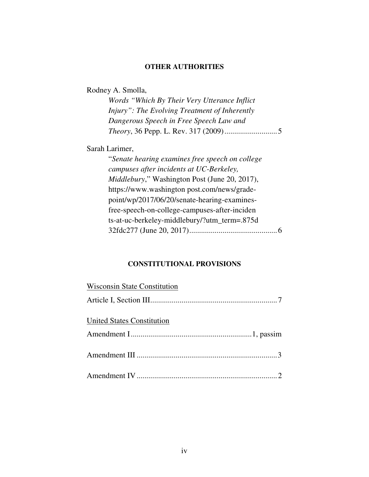# **OTHER AUTHORITIES**

| Rodney A. Smolla,                                     |
|-------------------------------------------------------|
| Words "Which By Their Very Utterance Inflict"         |
| Injury": The Evolving Treatment of Inherently         |
| Dangerous Speech in Free Speech Law and               |
|                                                       |
| Sarah Larimer,                                        |
| "Senate hearing examines free speech on college       |
| campuses after incidents at UC-Berkeley,              |
| <i>Middlebury</i> ," Washington Post (June 20, 2017), |
| https://www.washington post.com/news/grade-           |
| point/wp/2017/06/20/senate-hearing-examines-          |
| free-speech-on-college-campuses-after-inciden         |
| ts-at-uc-berkeley-middlebury/?utm_term=.875d          |
|                                                       |

# **CONSTITUTIONAL PROVISIONS**

| <b>Wisconsin State Constitution</b> |  |
|-------------------------------------|--|
|                                     |  |
| United States Constitution          |  |
|                                     |  |
|                                     |  |
|                                     |  |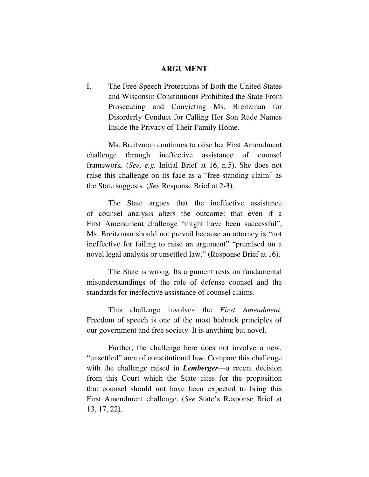#### **ARGUMENT**

I. The Free Speech Protections of Both the United States and Wisconsin Constitutions Prohibited the State From Prosecuting and Convicting Ms. Breitzman for Disorderly Conduct for Calling Her Son Rude Names Inside the Privacy of Their Family Home.

Ms. Breitzman continues to raise her First Amendment challenge through ineffective assistance of counsel framework. (*See, e.g.* Initial Brief at 16, n.5). She does not raise this challenge on its face as a "free-standing claim" as the State suggests. (*See* Response Brief at 2-3).

The State argues that the ineffective assistance of counsel analysis alters the outcome: that even if a First Amendment challenge "might have been successful", Ms. Breitzman should not prevail because an attorney is "not ineffective for failing to raise an argument" "premised on a novel legal analysis or unsettled law." (Response Brief at 16).

The State is wrong. Its argument rests on fundamental misunderstandings of the role of defense counsel and the standards for ineffective assistance of counsel claims.

This challenge involves the *First Amendment*. Freedom of speech is one of the most bedrock principles of our government and free society. It is anything but novel.

Further, the challenge here does not involve a new, "unsettled" area of constitutional law. Compare this challenge with the challenge raised in *Lemberger*—a recent decision from this Court which the State cites for the proposition that counsel should not have been expected to bring this First Amendment challenge. (*See* State's Response Brief at 13, 17, 22).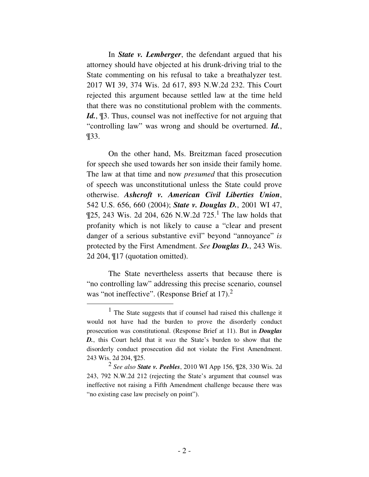In *State v. Lemberger*, the defendant argued that his attorney should have objected at his drunk-driving trial to the State commenting on his refusal to take a breathalyzer test. 2017 WI 39, 374 Wis. 2d 617, 893 N.W.2d 232. This Court rejected this argument because settled law at the time held that there was no constitutional problem with the comments. *Id.*, ¶3. Thus, counsel was not ineffective for not arguing that "controlling law" was wrong and should be overturned. *Id.*, ¶33.

On the other hand, Ms. Breitzman faced prosecution for speech she used towards her son inside their family home. The law at that time and now *presumed* that this prosecution of speech was unconstitutional unless the State could prove otherwise. *Ashcroft v. American Civil Liberties Union*, 542 U.S. 656, 660 (2004); *State v. Douglas D.*, 2001 WI 47,  $\P$ 25, 243 Wis. 2d 204, 626 N.W.2d 725.<sup>1</sup> The law holds that profanity which is not likely to cause a "clear and present danger of a serious substantive evil" beyond "annoyance" *is*  protected by the First Amendment. *See Douglas D.*, 243 Wis. 2d 204, ¶17 (quotation omitted).

The State nevertheless asserts that because there is "no controlling law" addressing this precise scenario, counsel was "not ineffective". (Response Brief at 17).<sup>2</sup>

 $\overline{a}$ 

<sup>1</sup> The State suggests that if counsel had raised this challenge it would not have had the burden to prove the disorderly conduct prosecution was constitutional. (Response Brief at 11). But in *Douglas D.*, this Court held that it *was* the State's burden to show that the disorderly conduct prosecution did not violate the First Amendment. 243 Wis. 2d 204, ¶25.

<sup>2</sup> *See also State v. Peebles*, 2010 WI App 156, ¶28, 330 Wis. 2d 243, 792 N.W.2d 212 (rejecting the State's argument that counsel was ineffective not raising a Fifth Amendment challenge because there was "no existing case law precisely on point").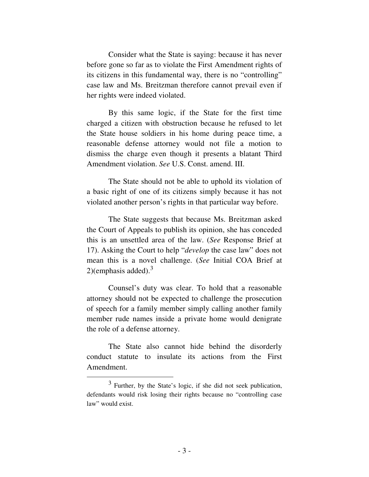Consider what the State is saying: because it has never before gone so far as to violate the First Amendment rights of its citizens in this fundamental way, there is no "controlling" case law and Ms. Breitzman therefore cannot prevail even if her rights were indeed violated.

By this same logic, if the State for the first time charged a citizen with obstruction because he refused to let the State house soldiers in his home during peace time, a reasonable defense attorney would not file a motion to dismiss the charge even though it presents a blatant Third Amendment violation. *See* U.S. Const. amend. III.

The State should not be able to uphold its violation of a basic right of one of its citizens simply because it has not violated another person's rights in that particular way before.

The State suggests that because Ms. Breitzman asked the Court of Appeals to publish its opinion, she has conceded this is an unsettled area of the law. (*See* Response Brief at 17). Asking the Court to help "*develop* the case law" does not mean this is a novel challenge. (*See* Initial COA Brief at 2)(emphasis added). $3$ 

Counsel's duty was clear. To hold that a reasonable attorney should not be expected to challenge the prosecution of speech for a family member simply calling another family member rude names inside a private home would denigrate the role of a defense attorney.

The State also cannot hide behind the disorderly conduct statute to insulate its actions from the First Amendment.

 $\overline{a}$ 

<sup>&</sup>lt;sup>3</sup> Further, by the State's logic, if she did not seek publication, defendants would risk losing their rights because no "controlling case law" would exist.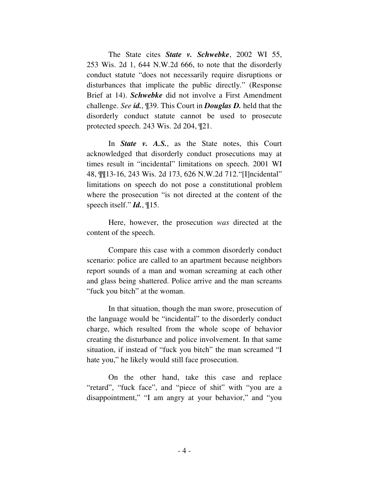The State cites *State v. Schwebke*, 2002 WI 55, 253 Wis. 2d 1, 644 N.W.2d 666, to note that the disorderly conduct statute "does not necessarily require disruptions or disturbances that implicate the public directly." (Response Brief at 14). *Schwebke* did not involve a First Amendment challenge. *See id.*, ¶39. This Court in *Douglas D.* held that the disorderly conduct statute cannot be used to prosecute protected speech. 243 Wis. 2d 204, ¶21.

In *State v. A.S.*, as the State notes, this Court acknowledged that disorderly conduct prosecutions may at times result in "incidental" limitations on speech. 2001 WI 48, ¶¶13-16, 243 Wis. 2d 173, 626 N.W.2d 712."[I]ncidental" limitations on speech do not pose a constitutional problem where the prosecution "is not directed at the content of the speech itself." *Id.*, ¶15.

Here, however, the prosecution *was* directed at the content of the speech.

Compare this case with a common disorderly conduct scenario: police are called to an apartment because neighbors report sounds of a man and woman screaming at each other and glass being shattered. Police arrive and the man screams "fuck you bitch" at the woman.

In that situation, though the man swore, prosecution of the language would be "incidental" to the disorderly conduct charge, which resulted from the whole scope of behavior creating the disturbance and police involvement. In that same situation, if instead of "fuck you bitch" the man screamed "I hate you," he likely would still face prosecution.

On the other hand, take this case and replace "retard", "fuck face", and "piece of shit" with "you are a disappointment," "I am angry at your behavior," and "you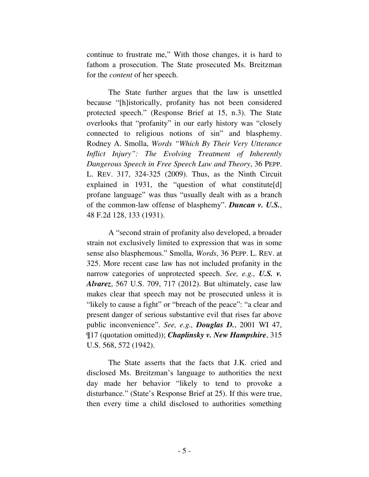continue to frustrate me," With those changes, it is hard to fathom a prosecution. The State prosecuted Ms. Breitzman for the *content* of her speech.

The State further argues that the law is unsettled because "[h]istorically, profanity has not been considered protected speech." (Response Brief at 15, n.3). The State overlooks that "profanity" in our early history was "closely connected to religious notions of sin" and blasphemy. Rodney A. Smolla, *Words "Which By Their Very Utterance Inflict Injury": The Evolving Treatment of Inherently Dangerous Speech in Free Speech Law and Theory*, 36 PEPP. L. REV. 317, 324-325 (2009). Thus, as the Ninth Circuit explained in 1931, the "question of what constitute[d] profane language" was thus "usually dealt with as a branch of the common-law offense of blasphemy". *Duncan v. U.S.*, 48 F.2d 128, 133 (1931).

A "second strain of profanity also developed, a broader strain not exclusively limited to expression that was in some sense also blasphemous." Smolla, *Words*, 36 PEPP. L. REV. at 325. More recent case law has not included profanity in the narrow categories of unprotected speech. *See, e.g., U.S. v. Alvarez*, 567 U.S. 709, 717 (2012). But ultimately, case law makes clear that speech may not be prosecuted unless it is "likely to cause a fight" or "breach of the peace": "a clear and present danger of serious substantive evil that rises far above public inconvenience". *See, e.g., Douglas D.*, 2001 WI 47, ¶17 (quotation omitted)); *Chaplinsky v. New Hampshire*, 315 U.S. 568, 572 (1942).

The State asserts that the facts that J.K. cried and disclosed Ms. Breitzman's language to authorities the next day made her behavior "likely to tend to provoke a disturbance." (State's Response Brief at 25). If this were true, then every time a child disclosed to authorities something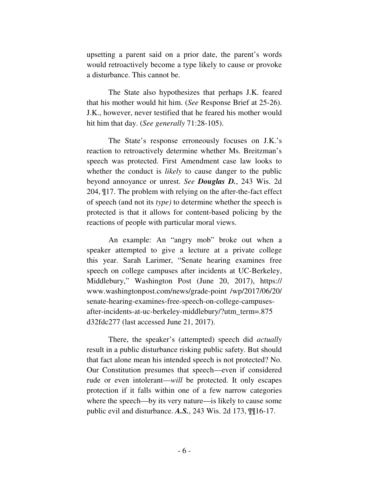upsetting a parent said on a prior date, the parent's words would retroactively become a type likely to cause or provoke a disturbance. This cannot be.

The State also hypothesizes that perhaps J.K. feared that his mother would hit him. (*See* Response Brief at 25-26). J.K., however, never testified that he feared his mother would hit him that day. (*See generally* 71:28-105).

The State's response erroneously focuses on J.K.'s reaction to retroactively determine whether Ms. Breitzman's speech was protected. First Amendment case law looks to whether the conduct is *likely* to cause danger to the public beyond annoyance or unrest. *See Douglas D.*, 243 Wis. 2d 204, ¶17. The problem with relying on the after-the-fact effect of speech (and not its *type)* to determine whether the speech is protected is that it allows for content-based policing by the reactions of people with particular moral views.

An example: An "angry mob" broke out when a speaker attempted to give a lecture at a private college this year. Sarah Larimer, "Senate hearing examines free speech on college campuses after incidents at UC-Berkeley, Middlebury," Washington Post (June 20, 2017), https:// www.washingtonpost.com/news/grade-point /wp/2017/06/20/ senate-hearing-examines-free-speech-on-college-campusesafter-incidents-at-uc-berkeley-middlebury/?utm\_term=.875 d32fdc277 (last accessed June 21, 2017).

There, the speaker's (attempted) speech did *actually*  result in a public disturbance risking public safety. But should that fact alone mean his intended speech is not protected? No. Our Constitution presumes that speech—even if considered rude or even intolerant—*will* be protected. It only escapes protection if it falls within one of a few narrow categories where the speech—by its very nature—is likely to cause some public evil and disturbance. *A.S.*, 243 Wis. 2d 173, ¶¶16-17.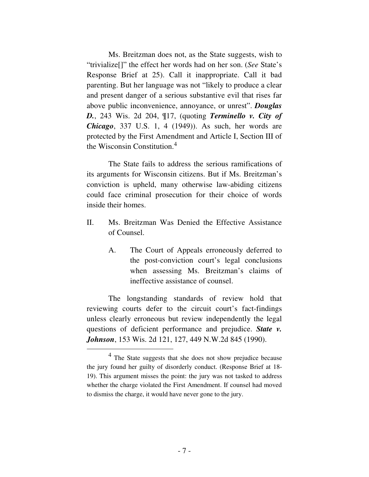Ms. Breitzman does not, as the State suggests, wish to "trivialize[]" the effect her words had on her son. (*See* State's Response Brief at 25). Call it inappropriate. Call it bad parenting. But her language was not "likely to produce a clear and present danger of a serious substantive evil that rises far above public inconvenience, annoyance, or unrest". *Douglas D.*, 243 Wis. 2d 204, ¶17, (quoting *Terminello v. City of Chicago*, 337 U.S. 1, 4 (1949)). As such, her words are protected by the First Amendment and Article I, Section III of the Wisconsin Constitution.<sup>4</sup>

The State fails to address the serious ramifications of its arguments for Wisconsin citizens. But if Ms. Breitzman's conviction is upheld, many otherwise law-abiding citizens could face criminal prosecution for their choice of words inside their homes.

- II. Ms. Breitzman Was Denied the Effective Assistance of Counsel.
	- A. The Court of Appeals erroneously deferred to the post-conviction court's legal conclusions when assessing Ms. Breitzman's claims of ineffective assistance of counsel.

The longstanding standards of review hold that reviewing courts defer to the circuit court's fact-findings unless clearly erroneous but review independently the legal questions of deficient performance and prejudice. *State v. Johnson*, 153 Wis. 2d 121, 127, 449 N.W.2d 845 (1990).

-

<sup>&</sup>lt;sup>4</sup> The State suggests that she does not show prejudice because the jury found her guilty of disorderly conduct. (Response Brief at 18- 19). This argument misses the point: the jury was not tasked to address whether the charge violated the First Amendment. If counsel had moved to dismiss the charge, it would have never gone to the jury.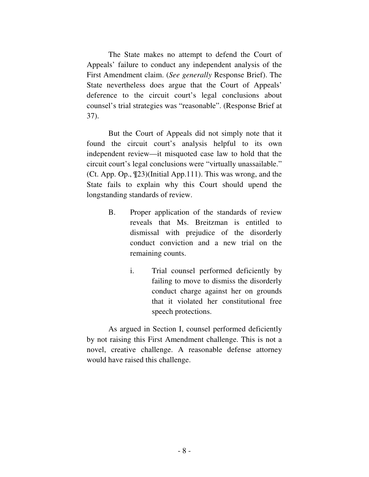The State makes no attempt to defend the Court of Appeals' failure to conduct any independent analysis of the First Amendment claim. (*See generally* Response Brief). The State nevertheless does argue that the Court of Appeals' deference to the circuit court's legal conclusions about counsel's trial strategies was "reasonable". (Response Brief at 37).

But the Court of Appeals did not simply note that it found the circuit court's analysis helpful to its own independent review—it misquoted case law to hold that the circuit court's legal conclusions were "virtually unassailable." (Ct. App. Op., ¶23)(Initial App.111). This was wrong, and the State fails to explain why this Court should upend the longstanding standards of review.

- B. Proper application of the standards of review reveals that Ms. Breitzman is entitled to dismissal with prejudice of the disorderly conduct conviction and a new trial on the remaining counts.
	- i. Trial counsel performed deficiently by failing to move to dismiss the disorderly conduct charge against her on grounds that it violated her constitutional free speech protections.

As argued in Section I, counsel performed deficiently by not raising this First Amendment challenge. This is not a novel, creative challenge. A reasonable defense attorney would have raised this challenge.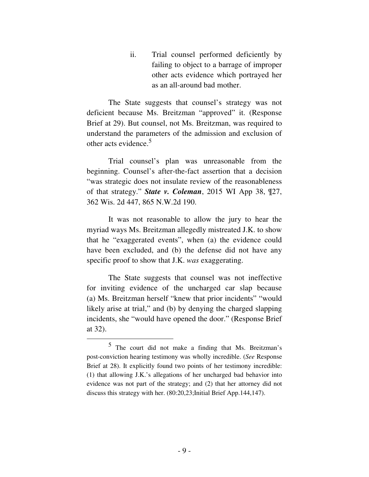ii. Trial counsel performed deficiently by failing to object to a barrage of improper other acts evidence which portrayed her as an all-around bad mother.

The State suggests that counsel's strategy was not deficient because Ms. Breitzman "approved" it. (Response Brief at 29). But counsel, not Ms. Breitzman, was required to understand the parameters of the admission and exclusion of other acts evidence.<sup>5</sup>

Trial counsel's plan was unreasonable from the beginning. Counsel's after-the-fact assertion that a decision "was strategic does not insulate review of the reasonableness of that strategy." *State v. Coleman*, 2015 WI App 38, ¶27, 362 Wis. 2d 447, 865 N.W.2d 190.

It was not reasonable to allow the jury to hear the myriad ways Ms. Breitzman allegedly mistreated J.K. to show that he "exaggerated events", when (a) the evidence could have been excluded, and (b) the defense did not have any specific proof to show that J.K. *was* exaggerating.

The State suggests that counsel was not ineffective for inviting evidence of the uncharged car slap because (a) Ms. Breitzman herself "knew that prior incidents" "would likely arise at trial," and (b) by denying the charged slapping incidents, she "would have opened the door." (Response Brief at 32).

-

<sup>5</sup> The court did not make a finding that Ms. Breitzman's post-conviction hearing testimony was wholly incredible. (*See* Response Brief at 28). It explicitly found two points of her testimony incredible: (1) that allowing J.K.'s allegations of her uncharged bad behavior into evidence was not part of the strategy; and (2) that her attorney did not discuss this strategy with her. (80:20,23;Initial Brief App.144,147).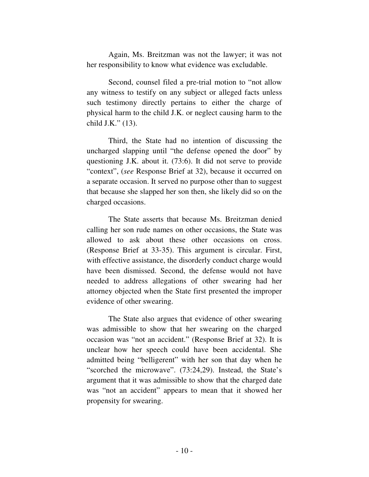Again, Ms. Breitzman was not the lawyer; it was not her responsibility to know what evidence was excludable.

Second, counsel filed a pre-trial motion to "not allow any witness to testify on any subject or alleged facts unless such testimony directly pertains to either the charge of physical harm to the child J.K. or neglect causing harm to the child J.K." (13).

Third, the State had no intention of discussing the uncharged slapping until "the defense opened the door" by questioning J.K. about it. (73:6). It did not serve to provide "context", (*see* Response Brief at 32), because it occurred on a separate occasion. It served no purpose other than to suggest that because she slapped her son then, she likely did so on the charged occasions.

The State asserts that because Ms. Breitzman denied calling her son rude names on other occasions, the State was allowed to ask about these other occasions on cross. (Response Brief at 33-35). This argument is circular. First, with effective assistance, the disorderly conduct charge would have been dismissed. Second, the defense would not have needed to address allegations of other swearing had her attorney objected when the State first presented the improper evidence of other swearing.

The State also argues that evidence of other swearing was admissible to show that her swearing on the charged occasion was "not an accident." (Response Brief at 32). It is unclear how her speech could have been accidental. She admitted being "belligerent" with her son that day when he "scorched the microwave". (73:24,29). Instead, the State's argument that it was admissible to show that the charged date was "not an accident" appears to mean that it showed her propensity for swearing.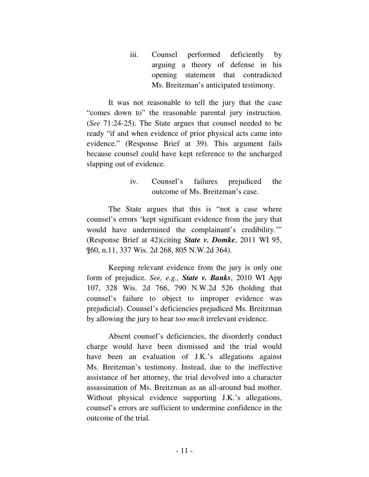iii. Counsel performed deficiently by arguing a theory of defense in his opening statement that contradicted Ms. Breitzman's anticipated testimony.

It was not reasonable to tell the jury that the case "comes down to" the reasonable parental jury instruction. (*See* 71:24-25). The State argues that counsel needed to be ready "if and when evidence of prior physical acts came into evidence." (Response Brief at 39). This argument fails because counsel could have kept reference to the uncharged slapping out of evidence.

# iv. Counsel's failures prejudiced the outcome of Ms. Breitzman's case.

The State argues that this is "not a case where counsel's errors 'kept significant evidence from the jury that would have undermined the complainant's credibility.'" (Response Brief at 42)(citing *State v. Domke*, 2011 WI 95, ¶60, n.11, 337 Wis. 2d 268, 805 N.W.2d 364).

Keeping relevant evidence from the jury is only one form of prejudice. *See, e.g., State v. Banks*, 2010 WI App 107, 328 Wis. 2d 766, 790 N.W.2d 526 (holding that counsel's failure to object to improper evidence was prejudicial). Counsel's deficiencies prejudiced Ms. Breitzman by allowing the jury to hear *too much* irrelevant evidence.

Absent counsel's deficiencies, the disorderly conduct charge would have been dismissed and the trial would have been an evaluation of J.K.'s allegations against Ms. Breitzman's testimony. Instead, due to the ineffective assistance of her attorney, the trial devolved into a character assassination of Ms. Breitzman as an all-around bad mother. Without physical evidence supporting J.K.'s allegations, counsel's errors are sufficient to undermine confidence in the outcome of the trial.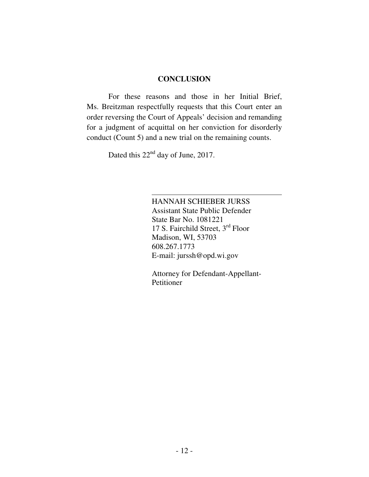#### **CONCLUSION**

For these reasons and those in her Initial Brief, Ms. Breitzman respectfully requests that this Court enter an order reversing the Court of Appeals' decision and remanding for a judgment of acquittal on her conviction for disorderly conduct (Count 5) and a new trial on the remaining counts.

Dated this 22<sup>nd</sup> day of June, 2017.

HANNAH SCHIEBER JURSS Assistant State Public Defender State Bar No. 1081221 17 S. Fairchild Street,  $3^{\rm rd}$  Floor Madison, WI, 53703 608.267.1773 E-mail: jurssh@opd.wi.gov

Attorney for Defendant-Appellant-Petitioner